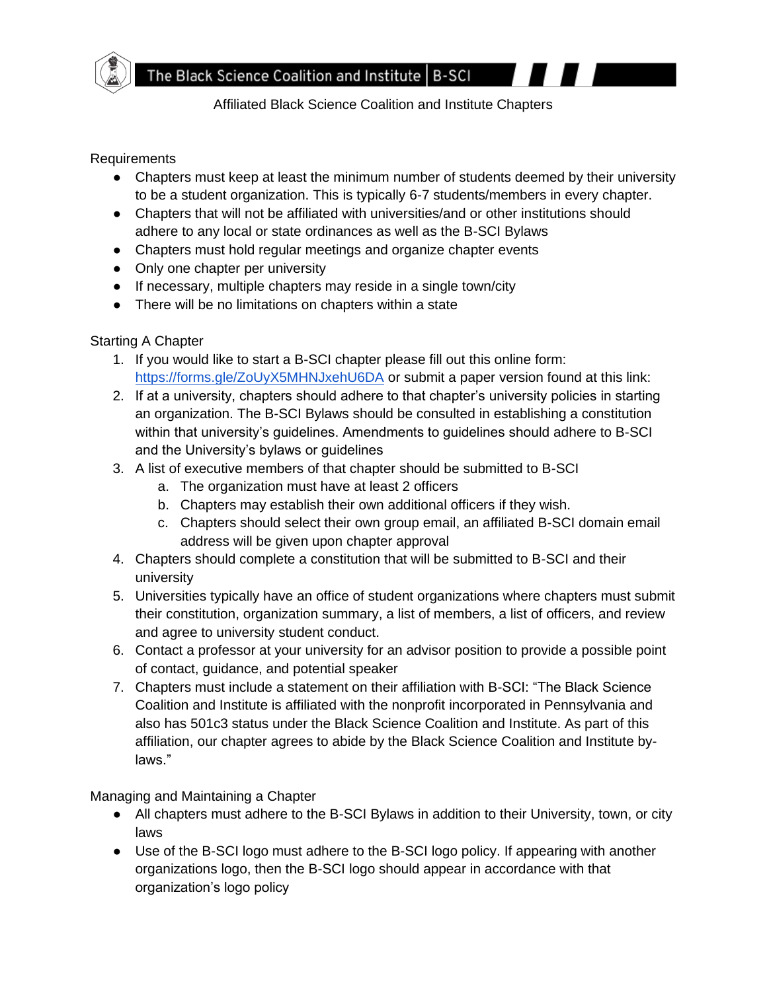

Affiliated Black Science Coalition and Institute Chapters

#### Requirements

- Chapters must keep at least the minimum number of students deemed by their university to be a student organization. This is typically 6-7 students/members in every chapter.
- Chapters that will not be affiliated with universities/and or other institutions should adhere to any local or state ordinances as well as the B-SCI Bylaws
- Chapters must hold regular meetings and organize chapter events
- Only one chapter per university
- If necessary, multiple chapters may reside in a single town/city
- There will be no limitations on chapters within a state

## Starting A Chapter

- 1. If you would like to start a B-SCI chapter please fill out this online form: <https://forms.gle/ZoUyX5MHNJxehU6DA> or submit a paper version found at this link:
- 2. If at a university, chapters should adhere to that chapter's university policies in starting an organization. The B-SCI Bylaws should be consulted in establishing a constitution within that university's guidelines. Amendments to guidelines should adhere to B-SCI and the University's bylaws or guidelines
- 3. A list of executive members of that chapter should be submitted to B-SCI
	- a. The organization must have at least 2 officers
	- b. Chapters may establish their own additional officers if they wish.
	- c. Chapters should select their own group email, an affiliated B-SCI domain email address will be given upon chapter approval
- 4. Chapters should complete a constitution that will be submitted to B-SCI and their university
- 5. Universities typically have an office of student organizations where chapters must submit their constitution, organization summary, a list of members, a list of officers, and review and agree to university student conduct.
- 6. Contact a professor at your university for an advisor position to provide a possible point of contact, guidance, and potential speaker
- 7. Chapters must include a statement on their affiliation with B-SCI: "The Black Science Coalition and Institute is affiliated with the nonprofit incorporated in Pennsylvania and also has 501c3 status under the Black Science Coalition and Institute. As part of this affiliation, our chapter agrees to abide by the Black Science Coalition and Institute bylaws."

Managing and Maintaining a Chapter

- All chapters must adhere to the B-SCI Bylaws in addition to their University, town, or city laws
- Use of the B-SCI logo must adhere to the B-SCI logo policy. If appearing with another organizations logo, then the B-SCI logo should appear in accordance with that organization's logo policy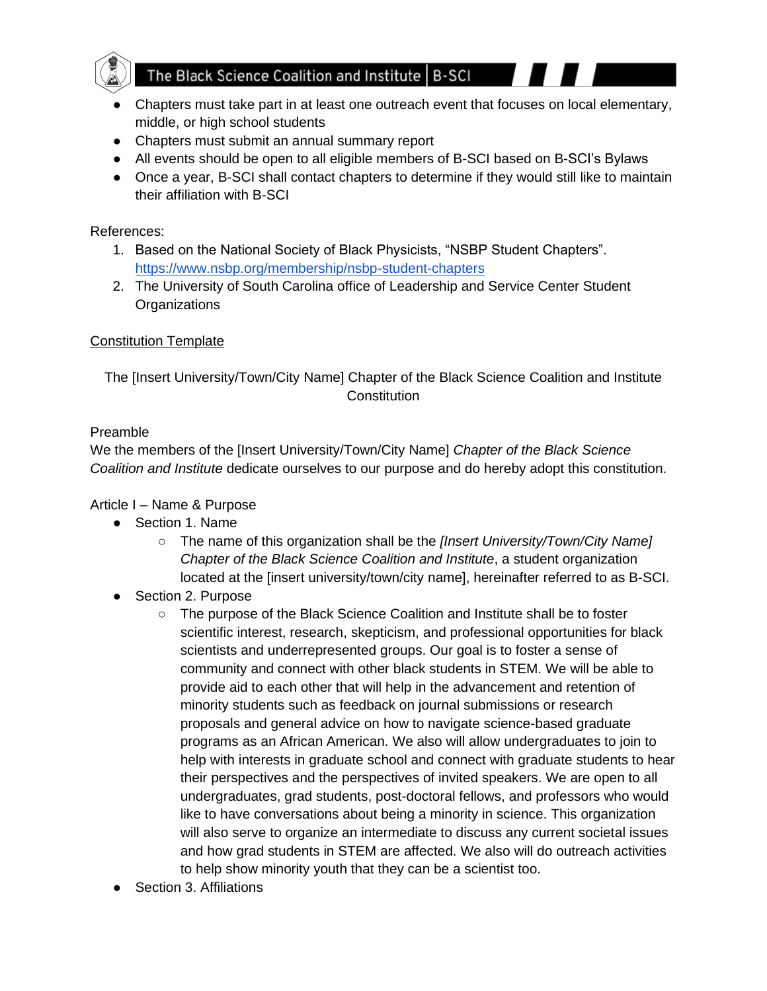

# The Black Science Coalition and Institute | B-SCI

- Chapters must take part in at least one outreach event that focuses on local elementary, middle, or high school students
- Chapters must submit an annual summary report
- All events should be open to all eligible members of B-SCI based on B-SCI's Bylaws
- Once a year, B-SCI shall contact chapters to determine if they would still like to maintain their affiliation with B-SCI

## References:

- 1. Based on the National Society of Black Physicists, "NSBP Student Chapters". <https://www.nsbp.org/membership/nsbp-student-chapters>
- 2. The University of South Carolina office of Leadership and Service Center Student **Organizations**

# Constitution Template

The [Insert University/Town/City Name] Chapter of the Black Science Coalition and Institute **Constitution** 

#### Preamble

We the members of the [Insert University/Town/City Name] *Chapter of the Black Science Coalition and Institute* dedicate ourselves to our purpose and do hereby adopt this constitution.

# Article I – Name & Purpose

- Section 1. Name
	- The name of this organization shall be the *[Insert University/Town/City Name] Chapter of the Black Science Coalition and Institute*, a student organization located at the [insert university/town/city name], hereinafter referred to as B-SCI.
- Section 2. Purpose
	- The purpose of the Black Science Coalition and Institute shall be to foster scientific interest, research, skepticism, and professional opportunities for black scientists and underrepresented groups. Our goal is to foster a sense of community and connect with other black students in STEM. We will be able to provide aid to each other that will help in the advancement and retention of minority students such as feedback on journal submissions or research proposals and general advice on how to navigate science-based graduate programs as an African American. We also will allow undergraduates to join to help with interests in graduate school and connect with graduate students to hear their perspectives and the perspectives of invited speakers. We are open to all undergraduates, grad students, post-doctoral fellows, and professors who would like to have conversations about being a minority in science. This organization will also serve to organize an intermediate to discuss any current societal issues and how grad students in STEM are affected. We also will do outreach activities to help show minority youth that they can be a scientist too.
- **Section 3. Affiliations**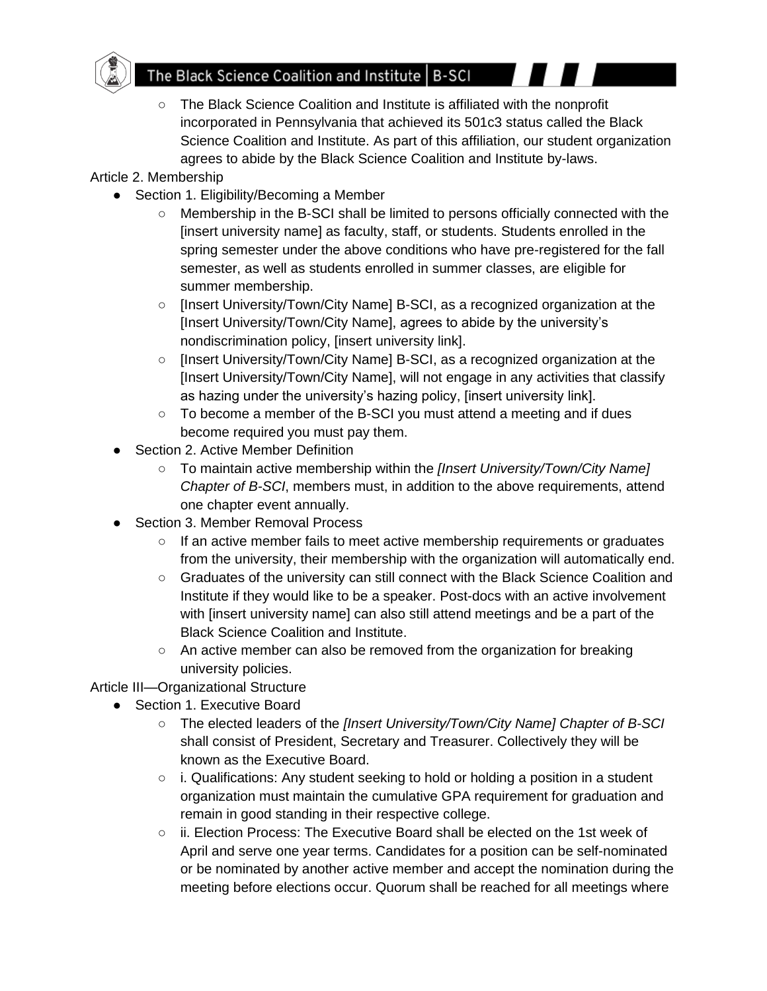

○ The Black Science Coalition and Institute is affiliated with the nonprofit incorporated in Pennsylvania that achieved its 501c3 status called the Black Science Coalition and Institute. As part of this affiliation, our student organization agrees to abide by the Black Science Coalition and Institute by-laws.

Article 2. Membership

- Section 1. Eligibility/Becoming a Member
	- Membership in the B-SCI shall be limited to persons officially connected with the [insert university name] as faculty, staff, or students. Students enrolled in the spring semester under the above conditions who have pre-registered for the fall semester, as well as students enrolled in summer classes, are eligible for summer membership.
	- [Insert University/Town/City Name] B-SCI, as a recognized organization at the [Insert University/Town/City Name], agrees to abide by the university's nondiscrimination policy, [insert university link].
	- [Insert University/Town/City Name] B-SCI, as a recognized organization at the [Insert University/Town/City Name], will not engage in any activities that classify as hazing under the university's hazing policy, [insert university link].
	- $\circ$  To become a member of the B-SCI you must attend a meeting and if dues become required you must pay them.
- **Section 2. Active Member Definition** 
	- To maintain active membership within the *[Insert University/Town/City Name] Chapter of B-SCI*, members must, in addition to the above requirements, attend one chapter event annually.
- Section 3. Member Removal Process
	- If an active member fails to meet active membership requirements or graduates from the university, their membership with the organization will automatically end.
	- Graduates of the university can still connect with the Black Science Coalition and Institute if they would like to be a speaker. Post-docs with an active involvement with [insert university name] can also still attend meetings and be a part of the Black Science Coalition and Institute.
	- $\circ$  An active member can also be removed from the organization for breaking university policies.
- Article III—Organizational Structure
	- Section 1. Executive Board
		- The elected leaders of the *[Insert University/Town/City Name] Chapter of B-SCI* shall consist of President, Secretary and Treasurer. Collectively they will be known as the Executive Board.
		- i. Qualifications: Any student seeking to hold or holding a position in a student organization must maintain the cumulative GPA requirement for graduation and remain in good standing in their respective college.
		- ii. Election Process: The Executive Board shall be elected on the 1st week of April and serve one year terms. Candidates for a position can be self-nominated or be nominated by another active member and accept the nomination during the meeting before elections occur. Quorum shall be reached for all meetings where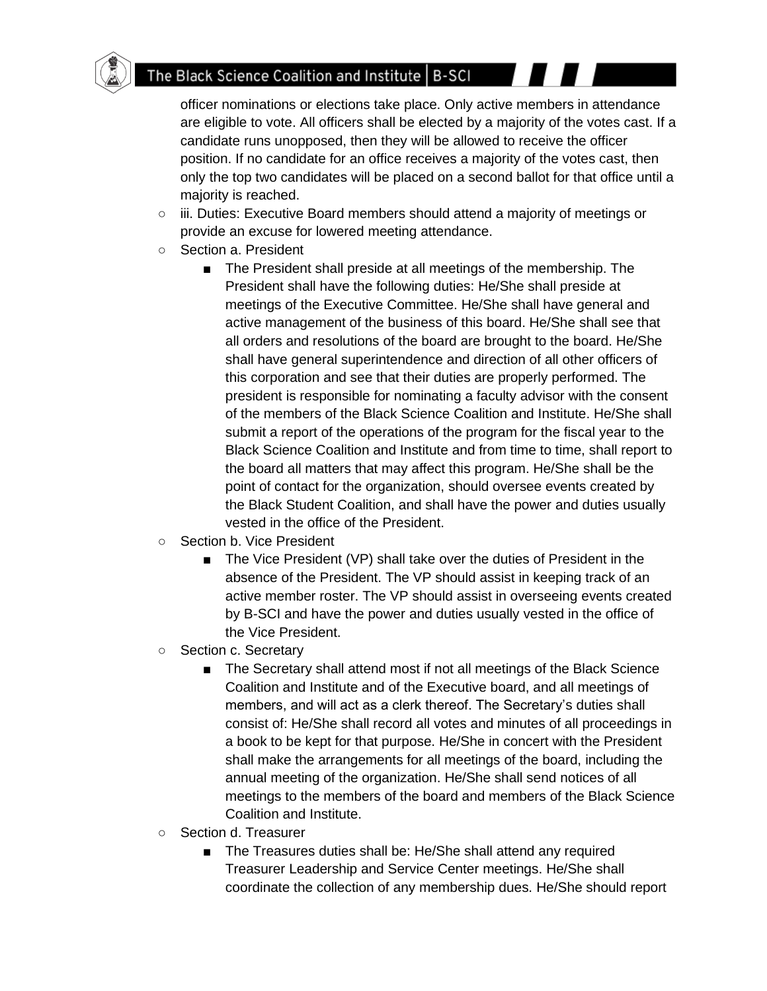officer nominations or elections take place. Only active members in attendance are eligible to vote. All officers shall be elected by a majority of the votes cast. If a candidate runs unopposed, then they will be allowed to receive the officer position. If no candidate for an office receives a majority of the votes cast, then only the top two candidates will be placed on a second ballot for that office until a majority is reached.

- iii. Duties: Executive Board members should attend a majority of meetings or provide an excuse for lowered meeting attendance.
- Section a. President
	- The President shall preside at all meetings of the membership. The President shall have the following duties: He/She shall preside at meetings of the Executive Committee. He/She shall have general and active management of the business of this board. He/She shall see that all orders and resolutions of the board are brought to the board. He/She shall have general superintendence and direction of all other officers of this corporation and see that their duties are properly performed. The president is responsible for nominating a faculty advisor with the consent of the members of the Black Science Coalition and Institute. He/She shall submit a report of the operations of the program for the fiscal year to the Black Science Coalition and Institute and from time to time, shall report to the board all matters that may affect this program. He/She shall be the point of contact for the organization, should oversee events created by the Black Student Coalition, and shall have the power and duties usually vested in the office of the President.
- Section b. Vice President
	- The Vice President (VP) shall take over the duties of President in the absence of the President. The VP should assist in keeping track of an active member roster. The VP should assist in overseeing events created by B-SCI and have the power and duties usually vested in the office of the Vice President.
- Section c. Secretary
	- The Secretary shall attend most if not all meetings of the Black Science Coalition and Institute and of the Executive board, and all meetings of members, and will act as a clerk thereof. The Secretary's duties shall consist of: He/She shall record all votes and minutes of all proceedings in a book to be kept for that purpose. He/She in concert with the President shall make the arrangements for all meetings of the board, including the annual meeting of the organization. He/She shall send notices of all meetings to the members of the board and members of the Black Science Coalition and Institute.
- Section d. Treasurer
	- The Treasures duties shall be: He/She shall attend any required Treasurer Leadership and Service Center meetings. He/She shall coordinate the collection of any membership dues. He/She should report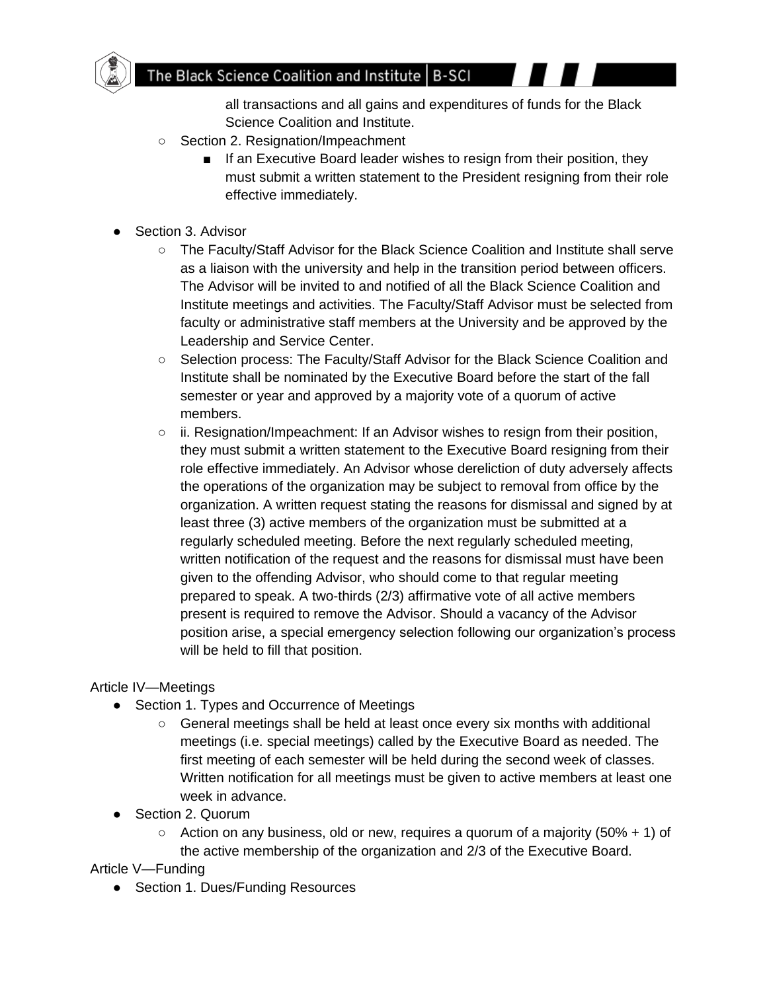

all transactions and all gains and expenditures of funds for the Black Science Coalition and Institute.

- Section 2. Resignation/Impeachment
	- If an Executive Board leader wishes to resign from their position, they must submit a written statement to the President resigning from their role effective immediately.
- Section 3. Advisor
	- The Faculty/Staff Advisor for the Black Science Coalition and Institute shall serve as a liaison with the university and help in the transition period between officers. The Advisor will be invited to and notified of all the Black Science Coalition and Institute meetings and activities. The Faculty/Staff Advisor must be selected from faculty or administrative staff members at the University and be approved by the Leadership and Service Center.
	- Selection process: The Faculty/Staff Advisor for the Black Science Coalition and Institute shall be nominated by the Executive Board before the start of the fall semester or year and approved by a majority vote of a quorum of active members.
	- ii. Resignation/Impeachment: If an Advisor wishes to resign from their position, they must submit a written statement to the Executive Board resigning from their role effective immediately. An Advisor whose dereliction of duty adversely affects the operations of the organization may be subject to removal from office by the organization. A written request stating the reasons for dismissal and signed by at least three (3) active members of the organization must be submitted at a regularly scheduled meeting. Before the next regularly scheduled meeting, written notification of the request and the reasons for dismissal must have been given to the offending Advisor, who should come to that regular meeting prepared to speak. A two-thirds (2/3) affirmative vote of all active members present is required to remove the Advisor. Should a vacancy of the Advisor position arise, a special emergency selection following our organization's process will be held to fill that position.

#### Article IV—Meetings

- Section 1. Types and Occurrence of Meetings
	- General meetings shall be held at least once every six months with additional meetings (i.e. special meetings) called by the Executive Board as needed. The first meeting of each semester will be held during the second week of classes. Written notification for all meetings must be given to active members at least one week in advance.
- Section 2. Quorum
	- $\circ$  Action on any business, old or new, requires a quorum of a majority (50% + 1) of the active membership of the organization and 2/3 of the Executive Board.

Article V—Funding

● Section 1. Dues/Funding Resources